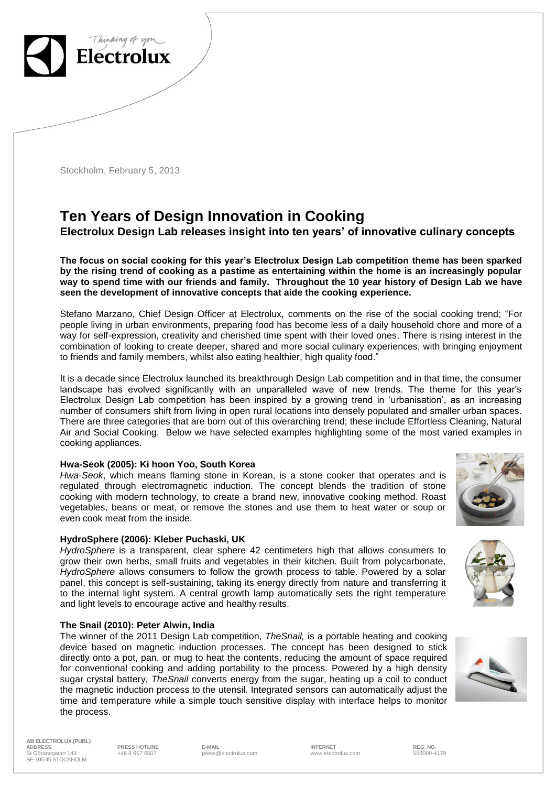

Stockholm, February 5, 2013

# **Ten Years of Design Innovation in Cooking Electrolux Design Lab releases insight into ten years' of innovative culinary concepts**

**The focus on social cooking for this year's Electrolux Design Lab competition theme has been sparked by the rising trend of cooking as a pastime as entertaining within the home is an increasingly popular way to spend time with our friends and family. Throughout the 10 year history of Design Lab we have seen the development of innovative concepts that aide the cooking experience.** 

Stefano Marzano, Chief Design Officer at Electrolux, comments on the rise of the social cooking trend; "For people living in urban environments, preparing food has become less of a daily household chore and more of a way for self-expression, creativity and cherished time spent with their loved ones. There is rising interest in the combination of looking to create deeper, shared and more social culinary experiences, with bringing enjoyment to friends and family members, whilst also eating healthier, high quality food."

It is a decade since Electrolux launched its breakthrough Design Lab competition and in that time, the consumer landscape has evolved significantly with an unparalleled wave of new trends. The theme for this year's Electrolux Design Lab competition has been inspired by a growing trend in 'urbanisation', as an increasing number of consumers shift from living in open rural locations into densely populated and smaller urban spaces. There are three categories that are born out of this overarching trend; these include Effortless Cleaning, Natural Air and Social Cooking. Below we have selected examples highlighting some of the most varied examples in cooking appliances.

## **Hwa-Seok (2005): Ki hoon Yoo, South Korea**

*Hwa-Seok*, which means flaming stone in Korean, is a stone cooker that operates and is regulated through electromagnetic induction. The concept blends the tradition of stone cooking with modern technology, to create a brand new, innovative cooking method. Roast vegetables, beans or meat, or remove the stones and use them to heat water or soup or even cook meat from the inside.

#### **HydroSphere (2006): Kleber Puchaski, UK**

*HydroSphere* is a transparent, clear sphere 42 centimeters high that allows consumers to grow their own herbs, small fruits and vegetables in their kitchen. Built from polycarbonate, *HydroSphere* allows consumers to follow the growth process to table. Powered by a solar panel, this concept is self-sustaining, taking its energy directly from nature and transferring it to the internal light system. A central growth lamp automatically sets the right temperature and light levels to encourage active and healthy results.

#### **The Snail (2010): Peter Alwin, India**

The winner of the 2011 Design Lab competition, *TheSnail,* is a portable heating and cooking device based on magnetic induction processes. The concept has been designed to stick directly onto a pot, pan, or mug to heat the contents, reducing the amount of space required for conventional cooking and adding portability to the process. Powered by a high density sugar crystal battery, *TheSnail* converts energy from the sugar, heating up a coil to conduct the magnetic induction process to the utensil. Integrated sensors can automatically adjust the time and temperature while a simple touch sensitive display with interface helps to monitor the process.

**AB ELECTROLUX (PUBL) ADDRESS PRESS HOTLINE E-MAIL INTERNET REG. NO.** St Göransgatan 143 SE-105 45 STOCKHOLM

+46 8 657 6507 press@electrolux.com www.electrolux.com 556009-4178





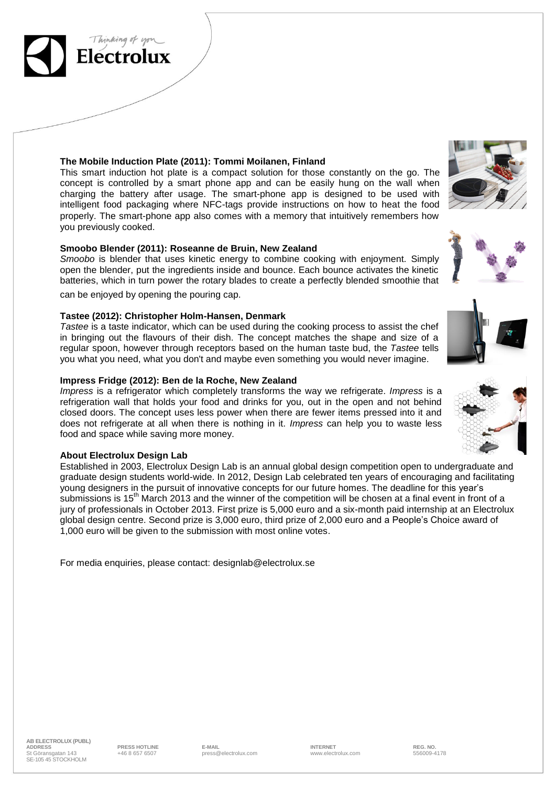

This smart induction hot plate is a compact solution for those constantly on the go. The concept is controlled by a smart phone app and can be easily hung on the wall when charging the battery after usage. The smart-phone app is designed to be used with intelligent food packaging where NFC-tags provide instructions on how to heat the food properly. The smart-phone app also comes with a memory that intuitively remembers how you previously cooked.

## **Smoobo Blender (2011): Roseanne de Bruin, New Zealand**

*Smoobo* is blender that uses kinetic energy to combine cooking with enjoyment. Simply open the blender, put the ingredients inside and bounce. Each bounce activates the kinetic batteries, which in turn power the rotary blades to create a perfectly blended smoothie that

can be enjoyed by opening the pouring cap.

Electrol

## **Tastee (2012): Christopher Holm-Hansen, Denmark**

*Tastee* is a taste indicator, which can be used during the cooking process to assist the chef in bringing out the flavours of their dish. The concept matches the shape and size of a regular spoon, however through receptors based on the human taste bud, the *Tastee* tells you what you need, what you don't and maybe even something you would never imagine.

## **Impress Fridge (2012): Ben de la Roche, New Zealand**

*Impress* is a refrigerator which completely transforms the way we refrigerate. *Impress* is a refrigeration wall that holds your food and drinks for you, out in the open and not behind closed doors. The concept uses less power when there are fewer items pressed into it and does not refrigerate at all when there is nothing in it. *Impress* can help you to waste less food and space while saving more money.

## **About Electrolux Design Lab**

Established in 2003, Electrolux Design Lab is an annual global design competition open to undergraduate and graduate design students world-wide. In 2012, Design Lab celebrated ten years of encouraging and facilitating young designers in the pursuit of innovative concepts for our future homes. The deadline for this year's submissions is 15<sup>th</sup> March 2013 and the winner of the competition will be chosen at a final event in front of a jury of professionals in October 2013. First prize is 5,000 euro and a six-month paid internship at an Electrolux global design centre. Second prize is 3,000 euro, third prize of 2,000 euro and a People's Choice award of 1,000 euro will be given to the submission with most online votes.

For media enquiries, please contact: [designlab@electrolux.se](mailto:designlab@electrolux.se)









+46 8 657 6507 press@electrolux.com www.electrolux.com 556009-4178